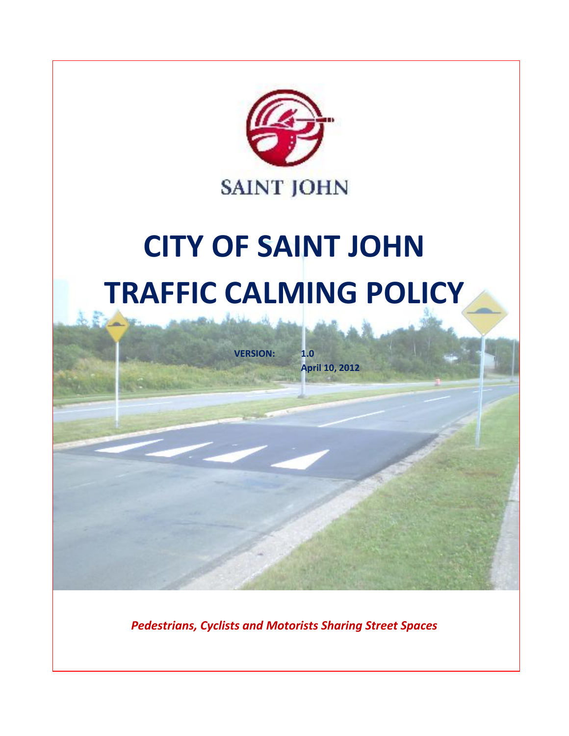

*Pedestrians, Cyclists and Motorists Sharing Street Spaces*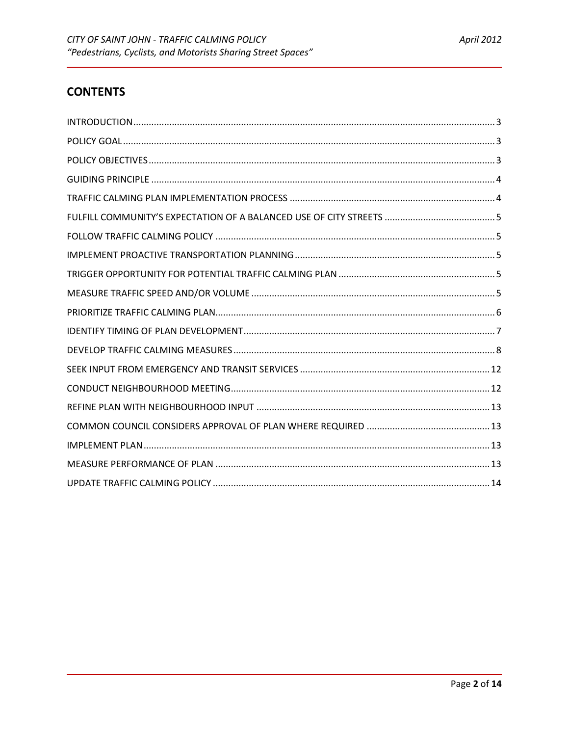# **CONTENTS**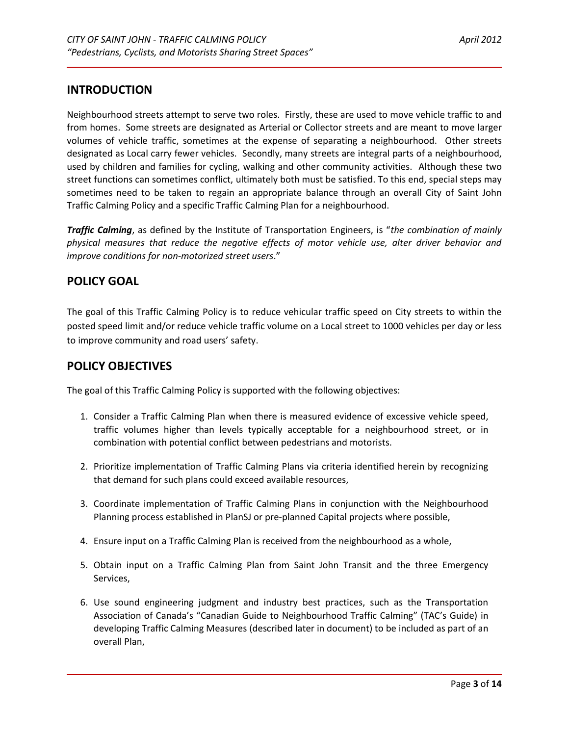### <span id="page-2-0"></span>**INTRODUCTION**

Neighbourhood streets attempt to serve two roles. Firstly, these are used to move vehicle traffic to and from homes. Some streets are designated as Arterial or Collector streets and are meant to move larger volumes of vehicle traffic, sometimes at the expense of separating a neighbourhood. Other streets designated as Local carry fewer vehicles. Secondly, many streets are integral parts of a neighbourhood, used by children and families for cycling, walking and other community activities. Although these two street functions can sometimes conflict, ultimately both must be satisfied. To this end, special steps may sometimes need to be taken to regain an appropriate balance through an overall City of Saint John Traffic Calming Policy and a specific Traffic Calming Plan for a neighbourhood.

*Traffic Calming*, as defined by the Institute of Transportation Engineers, is "*the combination of mainly physical measures that reduce the negative effects of motor vehicle use, alter driver behavior and improve conditions for non-motorized street users*."

### <span id="page-2-1"></span>**POLICY GOAL**

The goal of this Traffic Calming Policy is to reduce vehicular traffic speed on City streets to within the posted speed limit and/or reduce vehicle traffic volume on a Local street to 1000 vehicles per day or less to improve community and road users' safety.

### <span id="page-2-2"></span>**POLICY OBJECTIVES**

The goal of this Traffic Calming Policy is supported with the following objectives:

- 1. Consider a Traffic Calming Plan when there is measured evidence of excessive vehicle speed, traffic volumes higher than levels typically acceptable for a neighbourhood street, or in combination with potential conflict between pedestrians and motorists.
- 2. Prioritize implementation of Traffic Calming Plans via criteria identified herein by recognizing that demand for such plans could exceed available resources,
- 3. Coordinate implementation of Traffic Calming Plans in conjunction with the Neighbourhood Planning process established in PlanSJ or pre-planned Capital projects where possible,
- 4. Ensure input on a Traffic Calming Plan is received from the neighbourhood as a whole,
- 5. Obtain input on a Traffic Calming Plan from Saint John Transit and the three Emergency Services,
- 6. Use sound engineering judgment and industry best practices, such as the Transportation Association of Canada's "Canadian Guide to Neighbourhood Traffic Calming" (TAC's Guide) in developing Traffic Calming Measures (described later in document) to be included as part of an overall Plan,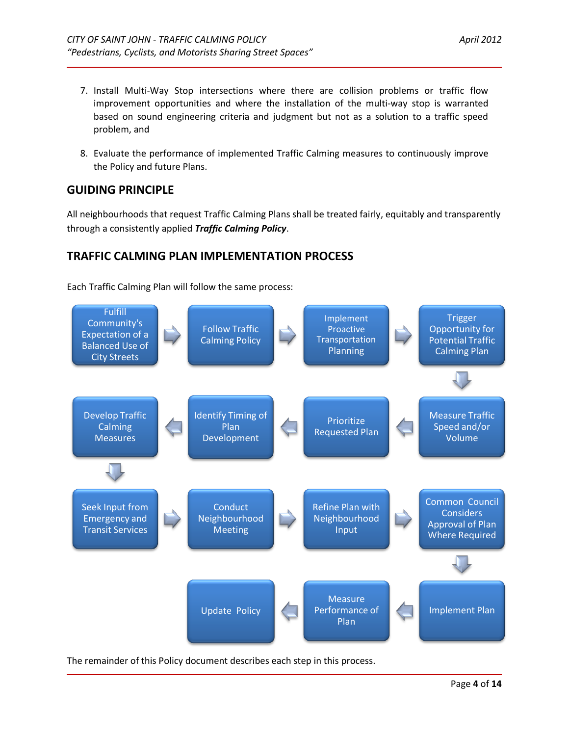- 7. Install Multi-Way Stop intersections where there are collision problems or traffic flow improvement opportunities and where the installation of the multi-way stop is warranted based on sound engineering criteria and judgment but not as a solution to a traffic speed problem, and
- 8. Evaluate the performance of implemented Traffic Calming measures to continuously improve the Policy and future Plans.

# <span id="page-3-0"></span>**GUIDING PRINCIPLE**

All neighbourhoods that request Traffic Calming Plans shall be treated fairly, equitably and transparently through a consistently applied *Traffic Calming Policy*.

# <span id="page-3-1"></span>**TRAFFIC CALMING PLAN IMPLEMENTATION PROCESS**

Each Traffic Calming Plan will follow the same process:



The remainder of this Policy document describes each step in this process.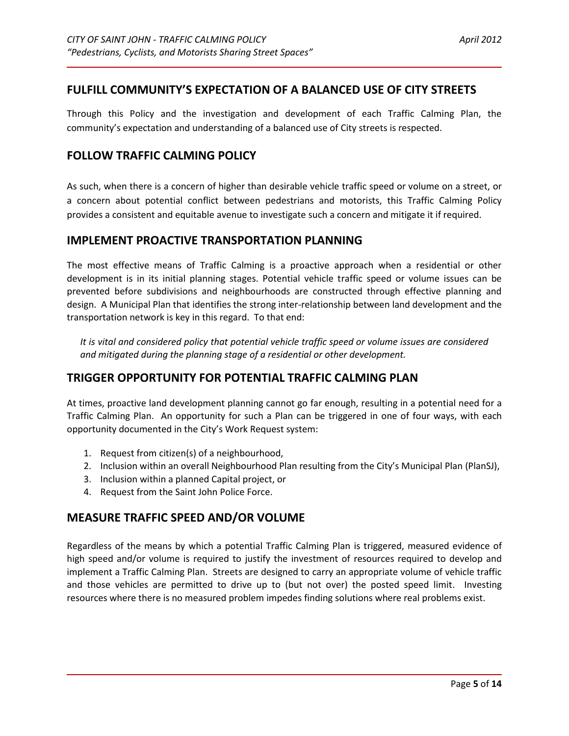### <span id="page-4-0"></span>**FULFILL COMMUNITY'S EXPECTATION OF A BALANCED USE OF CITY STREETS**

Through this Policy and the investigation and development of each Traffic Calming Plan, the community's expectation and understanding of a balanced use of City streets is respected.

### <span id="page-4-1"></span>**FOLLOW TRAFFIC CALMING POLICY**

As such, when there is a concern of higher than desirable vehicle traffic speed or volume on a street, or a concern about potential conflict between pedestrians and motorists, this Traffic Calming Policy provides a consistent and equitable avenue to investigate such a concern and mitigate it if required.

### <span id="page-4-2"></span>**IMPLEMENT PROACTIVE TRANSPORTATION PLANNING**

The most effective means of Traffic Calming is a proactive approach when a residential or other development is in its initial planning stages. Potential vehicle traffic speed or volume issues can be prevented before subdivisions and neighbourhoods are constructed through effective planning and design. A Municipal Plan that identifies the strong inter-relationship between land development and the transportation network is key in this regard. To that end:

*It is vital and considered policy that potential vehicle traffic speed or volume issues are considered and mitigated during the planning stage of a residential or other development.*

### <span id="page-4-3"></span>**TRIGGER OPPORTUNITY FOR POTENTIAL TRAFFIC CALMING PLAN**

At times, proactive land development planning cannot go far enough, resulting in a potential need for a Traffic Calming Plan. An opportunity for such a Plan can be triggered in one of four ways, with each opportunity documented in the City's Work Request system:

- 1. Request from citizen(s) of a neighbourhood,
- 2. Inclusion within an overall Neighbourhood Plan resulting from the City's Municipal Plan (PlanSJ),
- 3. Inclusion within a planned Capital project, or
- 4. Request from the Saint John Police Force.

### <span id="page-4-4"></span>**MEASURE TRAFFIC SPEED AND/OR VOLUME**

Regardless of the means by which a potential Traffic Calming Plan is triggered, measured evidence of high speed and/or volume is required to justify the investment of resources required to develop and implement a Traffic Calming Plan. Streets are designed to carry an appropriate volume of vehicle traffic and those vehicles are permitted to drive up to (but not over) the posted speed limit. Investing resources where there is no measured problem impedes finding solutions where real problems exist.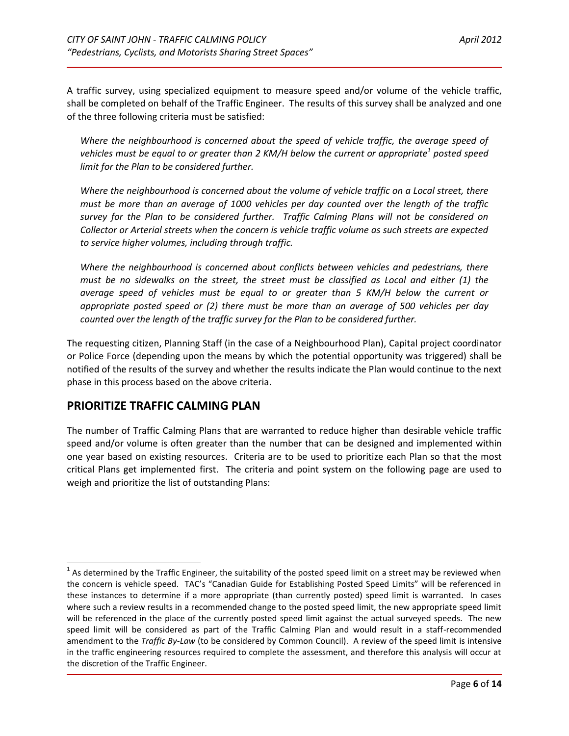A traffic survey, using specialized equipment to measure speed and/or volume of the vehicle traffic, shall be completed on behalf of the Traffic Engineer. The results of this survey shall be analyzed and one of the three following criteria must be satisfied:

*Where the neighbourhood is concerned about the speed of vehicle traffic, the average speed of vehicles must be equal to or greater than 2 KM/H below the current or appropriate<sup>1</sup> posted speed limit for the Plan to be considered further.*

*Where the neighbourhood is concerned about the volume of vehicle traffic on a Local street, there must be more than an average of 1000 vehicles per day counted over the length of the traffic survey for the Plan to be considered further. Traffic Calming Plans will not be considered on Collector or Arterial streets when the concern is vehicle traffic volume as such streets are expected to service higher volumes, including through traffic.*

*Where the neighbourhood is concerned about conflicts between vehicles and pedestrians, there must be no sidewalks on the street, the street must be classified as Local and either (1) the average speed of vehicles must be equal to or greater than 5 KM/H below the current or appropriate posted speed or (2) there must be more than an average of 500 vehicles per day counted over the length of the traffic survey for the Plan to be considered further.*

The requesting citizen, Planning Staff (in the case of a Neighbourhood Plan), Capital project coordinator or Police Force (depending upon the means by which the potential opportunity was triggered) shall be notified of the results of the survey and whether the results indicate the Plan would continue to the next phase in this process based on the above criteria.

# <span id="page-5-0"></span>**PRIORITIZE TRAFFIC CALMING PLAN**

l

The number of Traffic Calming Plans that are warranted to reduce higher than desirable vehicle traffic speed and/or volume is often greater than the number that can be designed and implemented within one year based on existing resources. Criteria are to be used to prioritize each Plan so that the most critical Plans get implemented first. The criteria and point system on the following page are used to weigh and prioritize the list of outstanding Plans:

 $^1$  As determined by the Traffic Engineer, the suitability of the posted speed limit on a street may be reviewed when the concern is vehicle speed. TAC's "Canadian Guide for Establishing Posted Speed Limits" will be referenced in these instances to determine if a more appropriate (than currently posted) speed limit is warranted. In cases where such a review results in a recommended change to the posted speed limit, the new appropriate speed limit will be referenced in the place of the currently posted speed limit against the actual surveyed speeds. The new speed limit will be considered as part of the Traffic Calming Plan and would result in a staff-recommended amendment to the *Traffic By-Law* (to be considered by Common Council). A review of the speed limit is intensive in the traffic engineering resources required to complete the assessment, and therefore this analysis will occur at the discretion of the Traffic Engineer.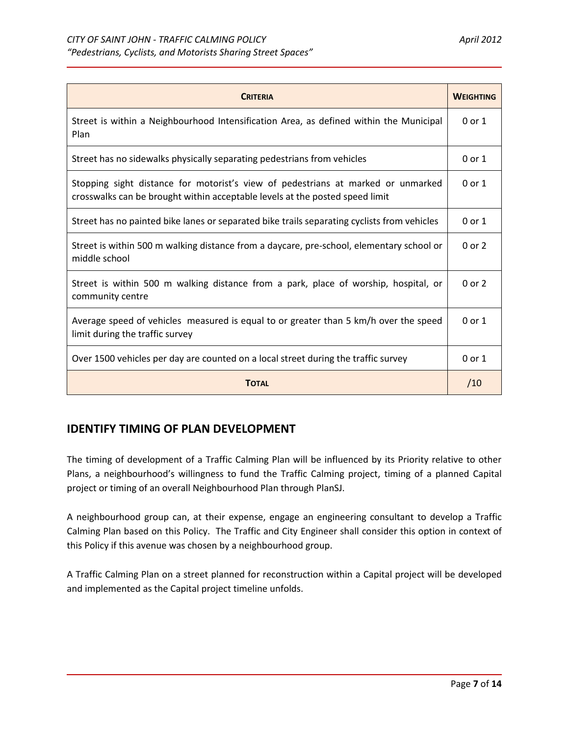| <b>CRITERIA</b>                                                                                                                                                  | <b>WEIGHTING</b> |
|------------------------------------------------------------------------------------------------------------------------------------------------------------------|------------------|
| Street is within a Neighbourhood Intensification Area, as defined within the Municipal<br>Plan                                                                   | $0$ or $1$       |
| Street has no sidewalks physically separating pedestrians from vehicles                                                                                          | $0$ or $1$       |
| Stopping sight distance for motorist's view of pedestrians at marked or unmarked<br>crosswalks can be brought within acceptable levels at the posted speed limit | $0$ or $1$       |
| Street has no painted bike lanes or separated bike trails separating cyclists from vehicles                                                                      | $0$ or $1$       |
| Street is within 500 m walking distance from a daycare, pre-school, elementary school or<br>middle school                                                        | $0$ or $2$       |
| Street is within 500 m walking distance from a park, place of worship, hospital, or<br>community centre                                                          | $0$ or $2$       |
| Average speed of vehicles measured is equal to or greater than 5 km/h over the speed<br>limit during the traffic survey                                          | $0$ or $1$       |
| Over 1500 vehicles per day are counted on a local street during the traffic survey                                                                               | $0$ or $1$       |
| <b>TOTAL</b>                                                                                                                                                     | /10              |

# <span id="page-6-0"></span>**IDENTIFY TIMING OF PLAN DEVELOPMENT**

The timing of development of a Traffic Calming Plan will be influenced by its Priority relative to other Plans, a neighbourhood's willingness to fund the Traffic Calming project, timing of a planned Capital project or timing of an overall Neighbourhood Plan through PlanSJ.

A neighbourhood group can, at their expense, engage an engineering consultant to develop a Traffic Calming Plan based on this Policy. The Traffic and City Engineer shall consider this option in context of this Policy if this avenue was chosen by a neighbourhood group.

A Traffic Calming Plan on a street planned for reconstruction within a Capital project will be developed and implemented as the Capital project timeline unfolds.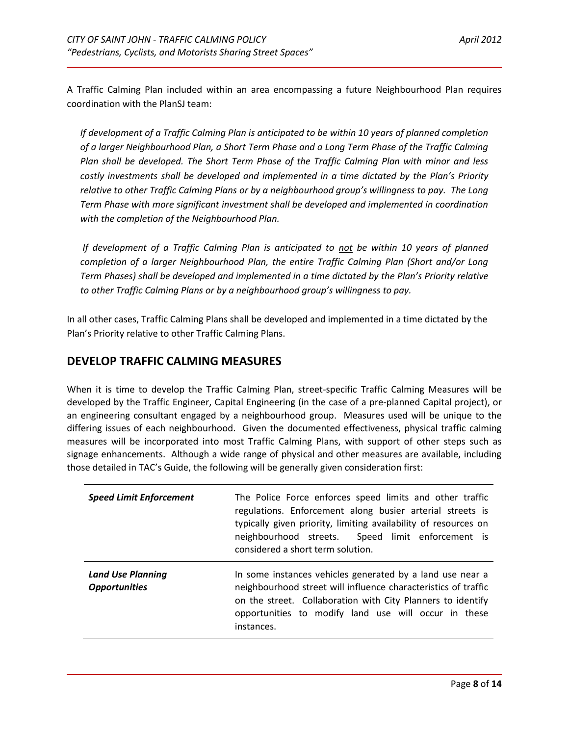A Traffic Calming Plan included within an area encompassing a future Neighbourhood Plan requires coordination with the PlanSJ team:

*If development of a Traffic Calming Plan is anticipated to be within 10 years of planned completion of a larger Neighbourhood Plan, a Short Term Phase and a Long Term Phase of the Traffic Calming Plan shall be developed. The Short Term Phase of the Traffic Calming Plan with minor and less costly investments shall be developed and implemented in a time dictated by the Plan's Priority relative to other Traffic Calming Plans or by a neighbourhood group's willingness to pay. The Long Term Phase with more significant investment shall be developed and implemented in coordination with the completion of the Neighbourhood Plan.* 

*If development of a Traffic Calming Plan is anticipated to not be within 10 years of planned completion of a larger Neighbourhood Plan, the entire Traffic Calming Plan (Short and/or Long Term Phases) shall be developed and implemented in a time dictated by the Plan's Priority relative to other Traffic Calming Plans or by a neighbourhood group's willingness to pay.*

In all other cases, Traffic Calming Plans shall be developed and implemented in a time dictated by the Plan's Priority relative to other Traffic Calming Plans.

### <span id="page-7-0"></span>**DEVELOP TRAFFIC CALMING MEASURES**

When it is time to develop the Traffic Calming Plan, street-specific Traffic Calming Measures will be developed by the Traffic Engineer, Capital Engineering (in the case of a pre-planned Capital project), or an engineering consultant engaged by a neighbourhood group. Measures used will be unique to the differing issues of each neighbourhood. Given the documented effectiveness, physical traffic calming measures will be incorporated into most Traffic Calming Plans, with support of other steps such as signage enhancements. Although a wide range of physical and other measures are available, including those detailed in TAC's Guide, the following will be generally given consideration first:

| <b>Speed Limit Enforcement</b>                   | The Police Force enforces speed limits and other traffic<br>regulations. Enforcement along busier arterial streets is<br>typically given priority, limiting availability of resources on<br>neighbourhood streets. Speed limit enforcement is<br>considered a short term solution. |
|--------------------------------------------------|------------------------------------------------------------------------------------------------------------------------------------------------------------------------------------------------------------------------------------------------------------------------------------|
| <b>Land Use Planning</b><br><b>Opportunities</b> | In some instances vehicles generated by a land use near a<br>neighbourhood street will influence characteristics of traffic<br>on the street. Collaboration with City Planners to identify<br>opportunities to modify land use will occur in these<br>instances.                   |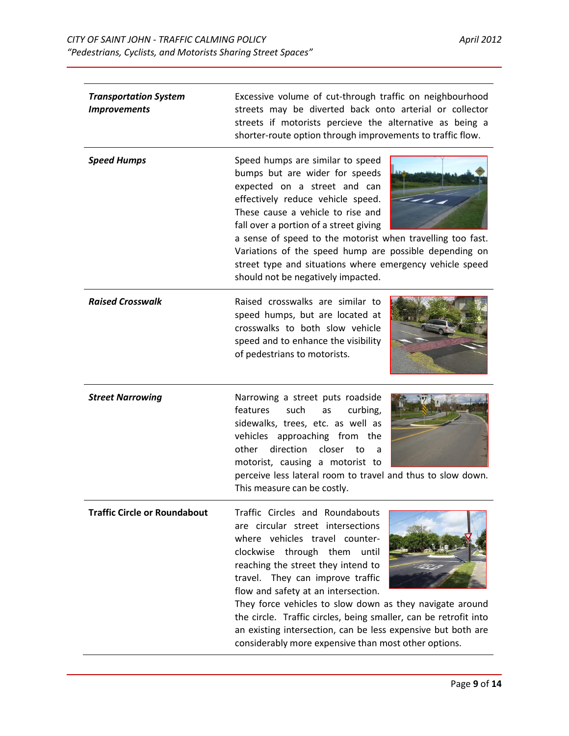| <b>Transportation System</b><br><b>Improvements</b> | Excessive volume of cut-through traffic on neighbourhood<br>streets may be diverted back onto arterial or collector<br>streets if motorists percieve the alternative as being a<br>shorter-route option through improvements to traffic flow.                                                                                                                                                                                                                                                                   |  |
|-----------------------------------------------------|-----------------------------------------------------------------------------------------------------------------------------------------------------------------------------------------------------------------------------------------------------------------------------------------------------------------------------------------------------------------------------------------------------------------------------------------------------------------------------------------------------------------|--|
| <b>Speed Humps</b>                                  | Speed humps are similar to speed<br>bumps but are wider for speeds<br>expected on a street and can<br>effectively reduce vehicle speed.<br>These cause a vehicle to rise and<br>fall over a portion of a street giving<br>a sense of speed to the motorist when travelling too fast.<br>Variations of the speed hump are possible depending on<br>street type and situations where emergency vehicle speed<br>should not be negatively impacted.                                                                |  |
| <b>Raised Crosswalk</b>                             | Raised crosswalks are similar to<br>speed humps, but are located at<br>crosswalks to both slow vehicle<br>speed and to enhance the visibility<br>of pedestrians to motorists.                                                                                                                                                                                                                                                                                                                                   |  |
| <b>Street Narrowing</b>                             | Narrowing a street puts roadside<br>features<br>such<br>curbing,<br>as<br>sidewalks, trees, etc. as well as<br>vehicles approaching from the<br>direction<br>other<br>closer<br>to<br>a<br>motorist, causing a motorist to<br>perceive less lateral room to travel and thus to slow down.<br>This measure can be costly.                                                                                                                                                                                        |  |
| <b>Traffic Circle or Roundabout</b>                 | Traffic Circles and Roundabouts<br>are circular street intersections<br>where vehicles travel counter-<br>clockwise through them until<br>reaching the street they intend to<br>travel. They can improve traffic<br>flow and safety at an intersection.<br>They force vehicles to slow down as they navigate around<br>the circle. Traffic circles, being smaller, can be retrofit into<br>an existing intersection, can be less expensive but both are<br>considerably more expensive than most other options. |  |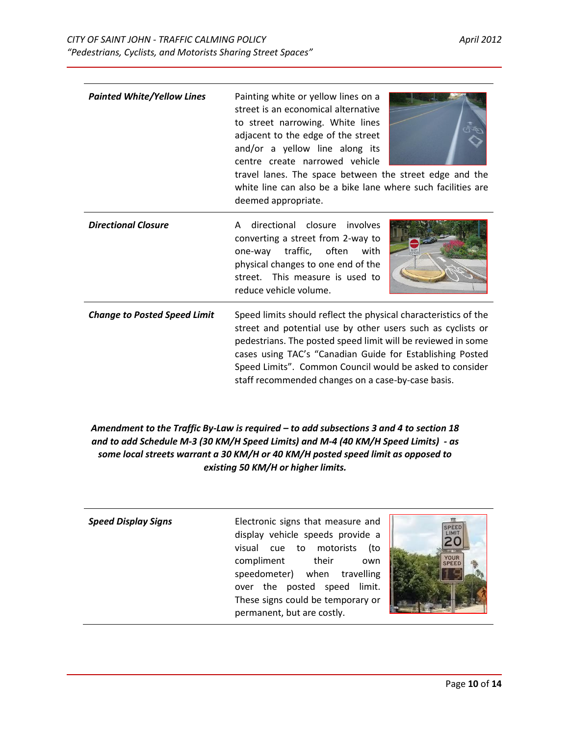| <b>Painted White/Yellow Lines</b>   | Painting white or yellow lines on a<br>street is an economical alternative<br>to street narrowing. White lines<br>adjacent to the edge of the street<br>and/or a yellow line along its<br>centre create narrowed vehicle<br>travel lanes. The space between the street edge and the<br>white line can also be a bike lane where such facilities are<br>deemed appropriate.    |  |
|-------------------------------------|-------------------------------------------------------------------------------------------------------------------------------------------------------------------------------------------------------------------------------------------------------------------------------------------------------------------------------------------------------------------------------|--|
| <b>Directional Closure</b>          | directional closure<br>involves<br>A<br>converting a street from 2-way to<br>one-way<br>traffic, often<br>with<br>physical changes to one end of the<br>street. This measure is used to<br>reduce vehicle volume.                                                                                                                                                             |  |
| <b>Change to Posted Speed Limit</b> | Speed limits should reflect the physical characteristics of the<br>street and potential use by other users such as cyclists or<br>pedestrians. The posted speed limit will be reviewed in some<br>cases using TAC's "Canadian Guide for Establishing Posted<br>Speed Limits". Common Council would be asked to consider<br>staff recommended changes on a case-by-case basis. |  |

#### *Amendment to the Traffic By-Law is required – to add subsections 3 and 4 to section 18 and to add Schedule M-3 (30 KM/H Speed Limits) and M-4 (40 KM/H Speed Limits) - as some local streets warrant a 30 KM/H or 40 KM/H posted speed limit as opposed to existing 50 KM/H or higher limits.*

| <b>Speed Display Signs</b> | Electronic signs that measure and<br>display vehicle speeds provide a<br>visual cue to motorists<br>to)<br>YOUR<br>compliment<br>their<br>own<br><b>SPEE</b><br>speedometer) when travelling<br>over the posted speed limit.<br>These signs could be temporary or<br>permanent, but are costly. |
|----------------------------|-------------------------------------------------------------------------------------------------------------------------------------------------------------------------------------------------------------------------------------------------------------------------------------------------|
|----------------------------|-------------------------------------------------------------------------------------------------------------------------------------------------------------------------------------------------------------------------------------------------------------------------------------------------|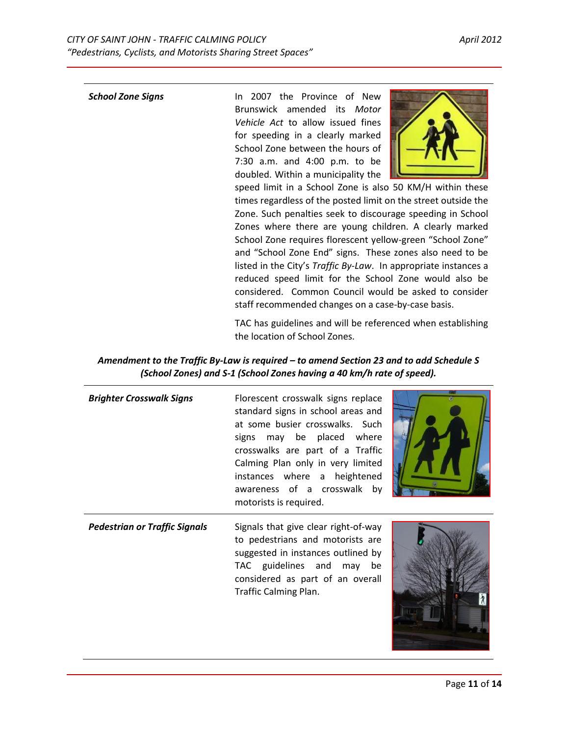| <b>School Zone Signs</b> | 2007 the Province of New<br>In In                               |
|--------------------------|-----------------------------------------------------------------|
|                          | Brunswick amended its Motor                                     |
|                          | Vehicle Act to allow issued fines                               |
|                          | for speeding in a clearly marked                                |
|                          | School Zone between the hours of                                |
|                          | 7:30 a.m. and 4:00 p.m. to be                                   |
|                          | doubled. Within a municipality the                              |
|                          | speed limit in a School Zone is also 50 KM/H within these       |
|                          | times regardless of the posted limit on the street outside the  |
|                          | Zone. Such penalties seek to discourage speeding in School      |
|                          | Zones where there are young children. A clearly marked          |
|                          | School Zone requires florescent yellow-green "School Zone"      |
|                          | and "School Zone End" signs. These zones also need to be        |
|                          | listed in the City's Traffic By-Law. In appropriate instances a |
|                          | reduced speed limit for the School Zone would also be           |

TAC has guidelines and will be referenced when establishing the location of School Zones.

considered. Common Council would be asked to consider

staff recommended changes on a case-by-case basis.

| Amendment to the Traffic By-Law is required – to amend Section 23 and to add Schedule S |
|-----------------------------------------------------------------------------------------|
| (School Zones) and S-1 (School Zones having a 40 km/h rate of speed).                   |

| <b>Brighter Crosswalk Signs</b>      | Florescent crosswalk signs replace<br>standard signs in school areas and<br>at some busier crosswalks. Such<br>signs may be placed where<br>crosswalks are part of a Traffic<br>Calming Plan only in very limited<br>instances where a heightened<br>awareness of a crosswalk by<br>motorists is required. |  |
|--------------------------------------|------------------------------------------------------------------------------------------------------------------------------------------------------------------------------------------------------------------------------------------------------------------------------------------------------------|--|
| <b>Pedestrian or Traffic Signals</b> | Signals that give clear right-of-way<br>to pedestrians and motorists are<br>suggested in instances outlined by<br>TAC guidelines and may<br>be<br>considered as part of an overall<br>Traffic Calming Plan.                                                                                                |  |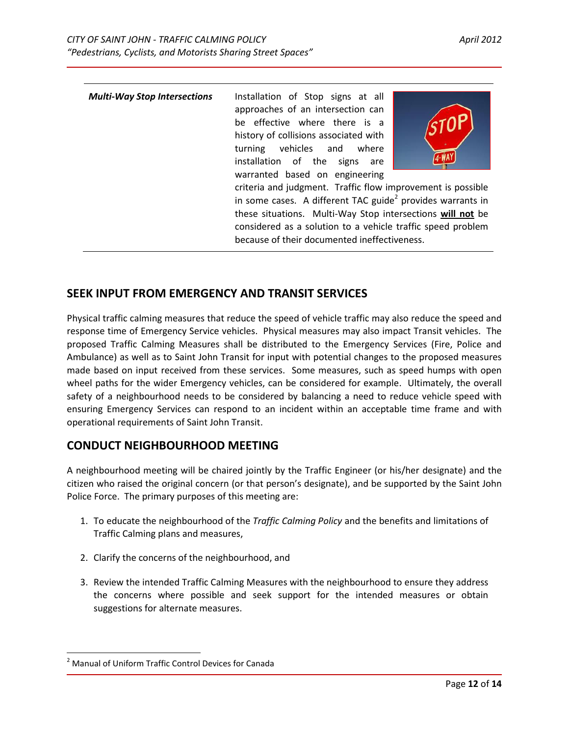| <b>Multi-Way Stop Intersections</b> | Installation of Stop signs at all<br>approaches of an intersection can                                                                   |  |
|-------------------------------------|------------------------------------------------------------------------------------------------------------------------------------------|--|
|                                     | be effective where there is a<br>history of collisions associated with<br>turning vehicles and where<br>installation of the signs<br>are |  |
|                                     | warranted based on engineering                                                                                                           |  |
|                                     | criteria and judgment. Traffic flow improvement is possible                                                                              |  |
|                                     | in some cases. A different TAC guide <sup>2</sup> provides warrants in                                                                   |  |
|                                     | these situations. Multi-Way Stop intersections will not be                                                                               |  |
|                                     | considered as a solution to a vehicle traffic speed problem                                                                              |  |
|                                     | because of their documented ineffectiveness.                                                                                             |  |

### <span id="page-11-0"></span>**SEEK INPUT FROM EMERGENCY AND TRANSIT SERVICES**

Physical traffic calming measures that reduce the speed of vehicle traffic may also reduce the speed and response time of Emergency Service vehicles. Physical measures may also impact Transit vehicles. The proposed Traffic Calming Measures shall be distributed to the Emergency Services (Fire, Police and Ambulance) as well as to Saint John Transit for input with potential changes to the proposed measures made based on input received from these services. Some measures, such as speed humps with open wheel paths for the wider Emergency vehicles, can be considered for example. Ultimately, the overall safety of a neighbourhood needs to be considered by balancing a need to reduce vehicle speed with ensuring Emergency Services can respond to an incident within an acceptable time frame and with operational requirements of Saint John Transit.

### <span id="page-11-1"></span>**CONDUCT NEIGHBOURHOOD MEETING**

A neighbourhood meeting will be chaired jointly by the Traffic Engineer (or his/her designate) and the citizen who raised the original concern (or that person's designate), and be supported by the Saint John Police Force. The primary purposes of this meeting are:

- 1. To educate the neighbourhood of the *Traffic Calming Policy* and the benefits and limitations of Traffic Calming plans and measures,
- 2. Clarify the concerns of the neighbourhood, and
- 3. Review the intended Traffic Calming Measures with the neighbourhood to ensure they address the concerns where possible and seek support for the intended measures or obtain suggestions for alternate measures.

 $\overline{\phantom{a}}$ 

<sup>&</sup>lt;sup>2</sup> Manual of Uniform Traffic Control Devices for Canada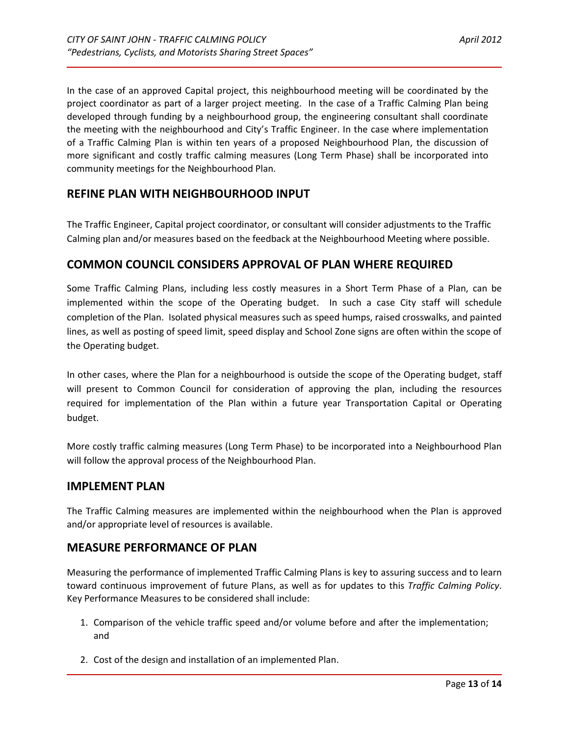In the case of an approved Capital project, this neighbourhood meeting will be coordinated by the project coordinator as part of a larger project meeting. In the case of a Traffic Calming Plan being developed through funding by a neighbourhood group, the engineering consultant shall coordinate the meeting with the neighbourhood and City's Traffic Engineer. In the case where implementation of a Traffic Calming Plan is within ten years of a proposed Neighbourhood Plan, the discussion of more significant and costly traffic calming measures (Long Term Phase) shall be incorporated into community meetings for the Neighbourhood Plan.

# <span id="page-12-0"></span>**REFINE PLAN WITH NEIGHBOURHOOD INPUT**

The Traffic Engineer, Capital project coordinator, or consultant will consider adjustments to the Traffic Calming plan and/or measures based on the feedback at the Neighbourhood Meeting where possible.

### <span id="page-12-1"></span>**COMMON COUNCIL CONSIDERS APPROVAL OF PLAN WHERE REQUIRED**

Some Traffic Calming Plans, including less costly measures in a Short Term Phase of a Plan, can be implemented within the scope of the Operating budget. In such a case City staff will schedule completion of the Plan. Isolated physical measures such as speed humps, raised crosswalks, and painted lines, as well as posting of speed limit, speed display and School Zone signs are often within the scope of the Operating budget.

In other cases, where the Plan for a neighbourhood is outside the scope of the Operating budget, staff will present to Common Council for consideration of approving the plan, including the resources required for implementation of the Plan within a future year Transportation Capital or Operating budget.

More costly traffic calming measures (Long Term Phase) to be incorporated into a Neighbourhood Plan will follow the approval process of the Neighbourhood Plan.

### <span id="page-12-2"></span>**IMPLEMENT PLAN**

The Traffic Calming measures are implemented within the neighbourhood when the Plan is approved and/or appropriate level of resources is available.

### <span id="page-12-3"></span>**MEASURE PERFORMANCE OF PLAN**

Measuring the performance of implemented Traffic Calming Plans is key to assuring success and to learn toward continuous improvement of future Plans, as well as for updates to this *Traffic Calming Policy*. Key Performance Measures to be considered shall include:

- 1. Comparison of the vehicle traffic speed and/or volume before and after the implementation; and
- 2. Cost of the design and installation of an implemented Plan.